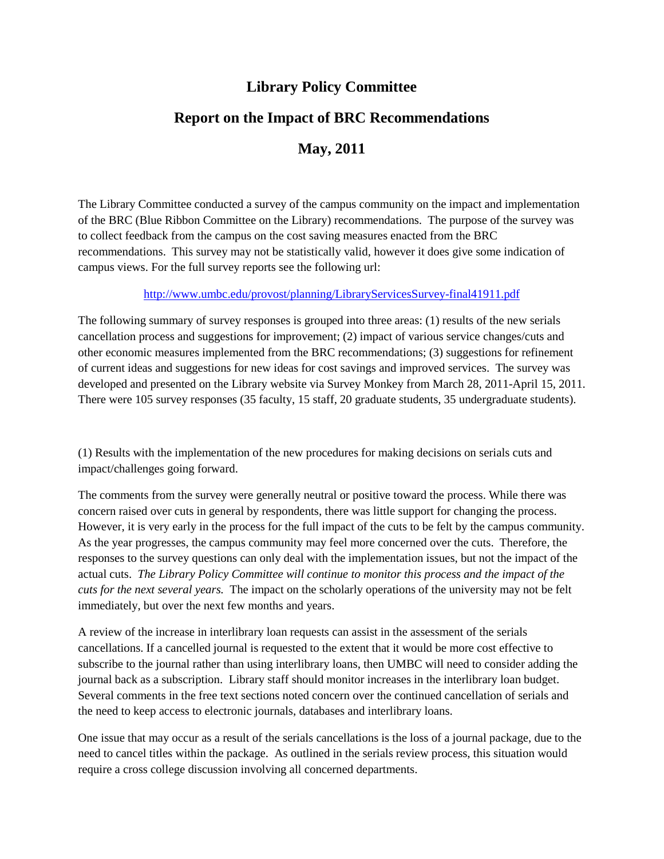## **Library Policy Committee**

# **Report on the Impact of BRC Recommendations**

### **May, 2011**

The Library Committee conducted a survey of the campus community on the impact and implementation of the BRC (Blue Ribbon Committee on the Library) recommendations. The purpose of the survey was to collect feedback from the campus on the cost saving measures enacted from the BRC recommendations. This survey may not be statistically valid, however it does give some indication of campus views. For the full survey reports see the following url:

#### <http://www.umbc.edu/provost/planning/LibraryServicesSurvey-final41911.pdf>

The following summary of survey responses is grouped into three areas: (1) results of the new serials cancellation process and suggestions for improvement; (2) impact of various service changes/cuts and other economic measures implemented from the BRC recommendations; (3) suggestions for refinement of current ideas and suggestions for new ideas for cost savings and improved services. The survey was developed and presented on the Library website via Survey Monkey from March 28, 2011-April 15, 2011. There were 105 survey responses (35 faculty, 15 staff, 20 graduate students, 35 undergraduate students).

(1) Results with the implementation of the new procedures for making decisions on serials cuts and impact/challenges going forward.

The comments from the survey were generally neutral or positive toward the process. While there was concern raised over cuts in general by respondents, there was little support for changing the process. However, it is very early in the process for the full impact of the cuts to be felt by the campus community. As the year progresses, the campus community may feel more concerned over the cuts. Therefore, the responses to the survey questions can only deal with the implementation issues, but not the impact of the actual cuts. *The Library Policy Committee will continue to monitor this process and the impact of the cuts for the next several years.* The impact on the scholarly operations of the university may not be felt immediately, but over the next few months and years.

A review of the increase in interlibrary loan requests can assist in the assessment of the serials cancellations. If a cancelled journal is requested to the extent that it would be more cost effective to subscribe to the journal rather than using interlibrary loans, then UMBC will need to consider adding the journal back as a subscription. Library staff should monitor increases in the interlibrary loan budget. Several comments in the free text sections noted concern over the continued cancellation of serials and the need to keep access to electronic journals, databases and interlibrary loans.

One issue that may occur as a result of the serials cancellations is the loss of a journal package, due to the need to cancel titles within the package. As outlined in the serials review process, this situation would require a cross college discussion involving all concerned departments.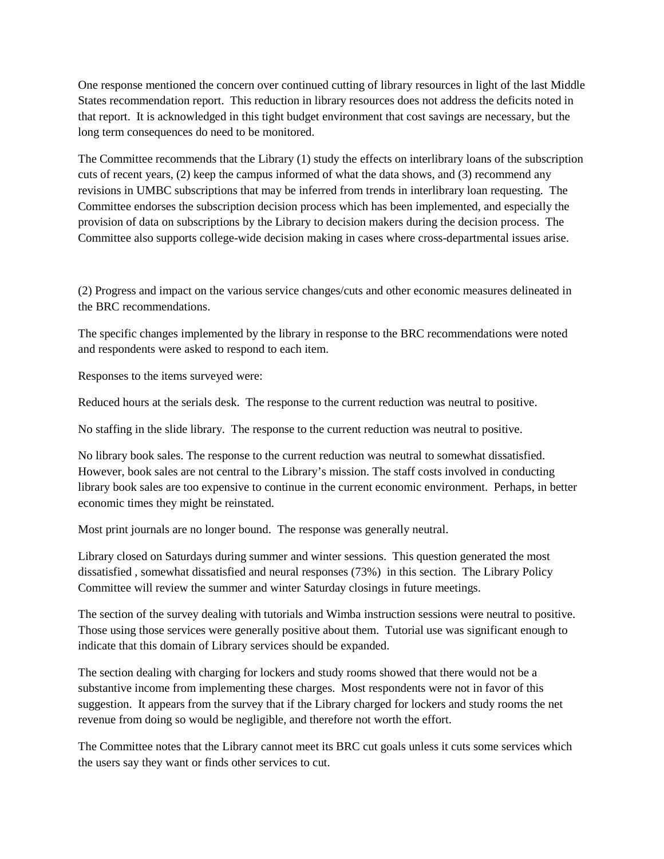One response mentioned the concern over continued cutting of library resources in light of the last Middle States recommendation report. This reduction in library resources does not address the deficits noted in that report. It is acknowledged in this tight budget environment that cost savings are necessary, but the long term consequences do need to be monitored.

The Committee recommends that the Library (1) study the effects on interlibrary loans of the subscription cuts of recent years, (2) keep the campus informed of what the data shows, and (3) recommend any revisions in UMBC subscriptions that may be inferred from trends in interlibrary loan requesting. The Committee endorses the subscription decision process which has been implemented, and especially the provision of data on subscriptions by the Library to decision makers during the decision process. The Committee also supports college-wide decision making in cases where cross-departmental issues arise.

(2) Progress and impact on the various service changes/cuts and other economic measures delineated in the BRC recommendations.

The specific changes implemented by the library in response to the BRC recommendations were noted and respondents were asked to respond to each item.

Responses to the items surveyed were:

Reduced hours at the serials desk. The response to the current reduction was neutral to positive.

No staffing in the slide library. The response to the current reduction was neutral to positive.

No library book sales. The response to the current reduction was neutral to somewhat dissatisfied. However, book sales are not central to the Library's mission. The staff costs involved in conducting library book sales are too expensive to continue in the current economic environment. Perhaps, in better economic times they might be reinstated.

Most print journals are no longer bound. The response was generally neutral.

Library closed on Saturdays during summer and winter sessions. This question generated the most dissatisfied , somewhat dissatisfied and neural responses (73%) in this section. The Library Policy Committee will review the summer and winter Saturday closings in future meetings.

The section of the survey dealing with tutorials and Wimba instruction sessions were neutral to positive. Those using those services were generally positive about them. Tutorial use was significant enough to indicate that this domain of Library services should be expanded.

The section dealing with charging for lockers and study rooms showed that there would not be a substantive income from implementing these charges. Most respondents were not in favor of this suggestion. It appears from the survey that if the Library charged for lockers and study rooms the net revenue from doing so would be negligible, and therefore not worth the effort.

The Committee notes that the Library cannot meet its BRC cut goals unless it cuts some services which the users say they want or finds other services to cut.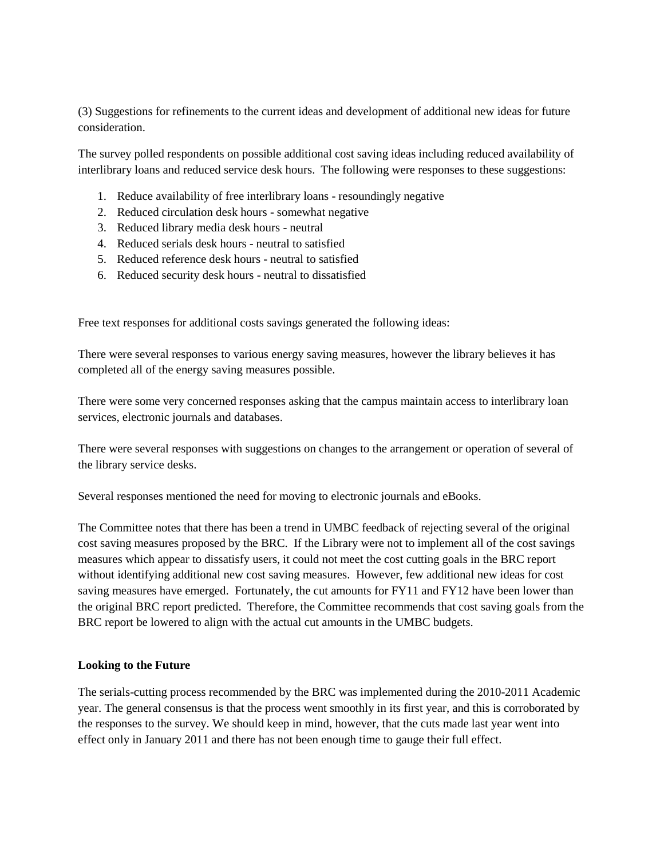(3) Suggestions for refinements to the current ideas and development of additional new ideas for future consideration.

The survey polled respondents on possible additional cost saving ideas including reduced availability of interlibrary loans and reduced service desk hours. The following were responses to these suggestions:

- 1. Reduce availability of free interlibrary loans resoundingly negative
- 2. Reduced circulation desk hours somewhat negative
- 3. Reduced library media desk hours neutral
- 4. Reduced serials desk hours neutral to satisfied
- 5. Reduced reference desk hours neutral to satisfied
- 6. Reduced security desk hours neutral to dissatisfied

Free text responses for additional costs savings generated the following ideas:

There were several responses to various energy saving measures, however the library believes it has completed all of the energy saving measures possible.

There were some very concerned responses asking that the campus maintain access to interlibrary loan services, electronic journals and databases.

There were several responses with suggestions on changes to the arrangement or operation of several of the library service desks.

Several responses mentioned the need for moving to electronic journals and eBooks.

The Committee notes that there has been a trend in UMBC feedback of rejecting several of the original cost saving measures proposed by the BRC. If the Library were not to implement all of the cost savings measures which appear to dissatisfy users, it could not meet the cost cutting goals in the BRC report without identifying additional new cost saving measures. However, few additional new ideas for cost saving measures have emerged. Fortunately, the cut amounts for FY11 and FY12 have been lower than the original BRC report predicted. Therefore, the Committee recommends that cost saving goals from the BRC report be lowered to align with the actual cut amounts in the UMBC budgets.

#### **Looking to the Future**

The serials-cutting process recommended by the BRC was implemented during the 2010-2011 Academic year. The general consensus is that the process went smoothly in its first year, and this is corroborated by the responses to the survey. We should keep in mind, however, that the cuts made last year went into effect only in January 2011 and there has not been enough time to gauge their full effect.